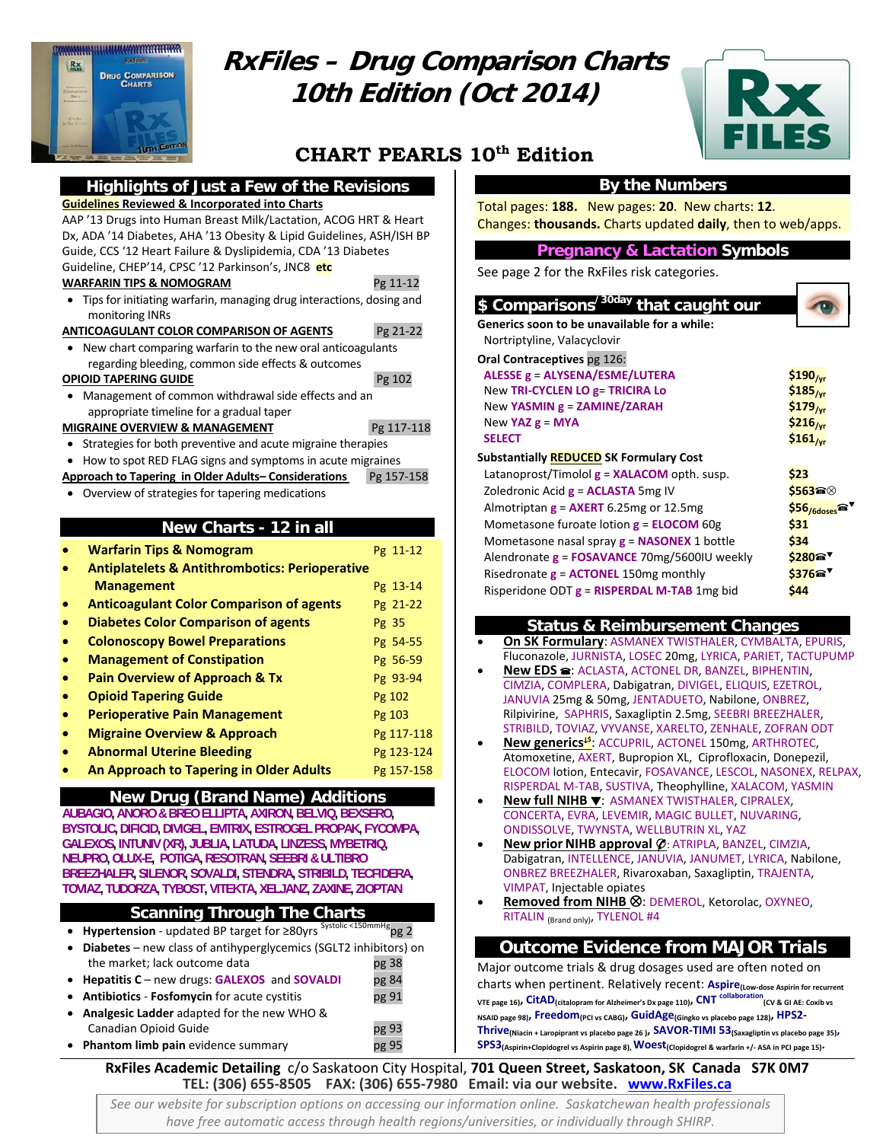

# **RxFiles – Drug Comparison Charts 10th Edition (Oct 2014)**



# **CHART PEARLS 10th Edition**

#### **Highlights of Just a Few of the Revisions Guidelines Reviewed & Incorporated into Charts**

AAP '13 Drugs into Human Breast Milk/Lactation, ACOG HRT & Heart Dx, ADA '14 Diabetes, AHA '13 Obesity & Lipid Guidelines, ASH/ISH BP Guide, CCS '12 Heart Failure & Dyslipidemia, CDA '13 Diabetes Guideline, CHEP'14, CPSC '12 Parkinson's, JNC8 **etc**

#### **WARFARIN TIPS & NOMOGRAM** Pg 11‐12

 Tips for initiating warfarin, managing drug interactions, dosing and monitoring INRs

**ANTICOAGULANT COLOR COMPARISON OF AGENTS** Pg 21‐22

 New chart comparing warfarin to the new oral anticoagulants regarding bleeding, common side effects & outcomes

#### **OPIOID TAPERING GUIDE** Pg 102

 Management of common withdrawal side effects and an appropriate timeline for a gradual taper

#### **MIGRAINE OVERVIEW & MANAGEMENT**  Pg 117‐118

- Strategies for both preventive and acute migraine therapies
- How to spot RED FLAG signs and symptoms in acute migraines
- **Approach to Tapering in Older Adults– Considerations** Pg 157‐158
- Overview of strategies for tapering medications

#### **New Charts - 12 in all**

|           | <b>Warfarin Tips &amp; Nomogram</b>                       | Pg 11-12   |
|-----------|-----------------------------------------------------------|------------|
|           | <b>Antiplatelets &amp; Antithrombotics: Perioperative</b> |            |
|           | <b>Management</b>                                         | Pg 13-14   |
|           | <b>Anticoagulant Color Comparison of agents</b>           | Pg 21-22   |
| $\bullet$ | <b>Diabetes Color Comparison of agents</b>                | Pg 35      |
| $\bullet$ | <b>Colonoscopy Bowel Preparations</b>                     | Pg 54-55   |
| $\bullet$ | <b>Management of Constipation</b>                         | Pg 56-59   |
| $\bullet$ | <b>Pain Overview of Approach &amp; Tx</b>                 | Pg 93-94   |
|           | <b>Opioid Tapering Guide</b>                              | Pg 102     |
|           | <b>Perioperative Pain Management</b>                      | Pg 103     |
|           | <b>Migraine Overview &amp; Approach</b>                   | Pg 117-118 |
|           | <b>Abnormal Uterine Bleeding</b>                          | Pg 123-124 |
|           | <b>An Approach to Tapering in Older Adults</b>            | Pg 157-158 |

#### **New Drug (Brand Name) Additions**

**AUBAGIO, ANORO & BREO ELLIPTA, AXIRON, BELVIQ, BEXSERO, BYSTOLIC, DIFICID, DIVIGEL, EMTRIX, ESTROGEL PROPAK, FYCOMPA, GALEXOS, INTUNIV (XR), JUBLIA, LATUDA, LINZESS, MYBETRIQ, NEUPRO, OLUX-E, POTIGA, RESOTRAN, SEEBRI & ULTIBRO BREEZHALER, SILENOR, SOVALDI, STENDRA, STRIBILD, TECFIDERA, TOVIAZ, TUDORZA, TYBOST, VITEKTA, XELJANZ, ZAXINE, ZIOPTAN** 

#### **Scanning Through The Charts**

| • Hypertension - updated BP target for $\geq$ 80yrs Systolic <150mmHg <sub>pg</sub> 2 |       |  |
|---------------------------------------------------------------------------------------|-------|--|
| • Diabetes – new class of antihyperglycemics (SGLT2 inhibitors) on                    |       |  |
| the market; lack outcome data                                                         | pg 38 |  |
| • Hepatitis C – new drugs: GALEXOS and SOVALDI                                        | pg 84 |  |

- **Antibiotics Fosfomycin** for acute cystitis **pg 91 Analgesic Ladder** adapted for the new WHO &
- Canadian Opioid Guide pg 93
- **Phantom limb pain** evidence summary **painting**  $p$ g 95

## **By the Numbers**

Total pages: **188.** New pages: **20**. New charts: **12**. Changes: **thousands.** Charts updated **daily**, then to web/apps.

#### **Pregnancy & Lactation Symbols**

See page 2 for the RxFiles risk categories.

| \$ Comparisons <sup>/30day</sup> that caught our   |                      |
|----------------------------------------------------|----------------------|
| Generics soon to be unavailable for a while:       |                      |
| Nortriptyline, Valacyclovir                        |                      |
| Oral Contraceptives pg 126:                        |                      |
| ALESSE g = ALYSENA/ESME/LUTERA                     | $$190_{/yr}$         |
| New TRI-CYCLEN LO g= TRICIRA Lo                    | $$185_{/yr}$         |
| New YASMIN g = ZAMINE/ZARAH                        | $$179_{\rm /yr}$     |
| New YAZ $g = MYA$                                  | $$216_{\text{/vr}}$$ |
| <b>SELECT</b>                                      | $$161_{/yr}$         |
| <b>Substantially REDUCED SK Formulary Cost</b>     |                      |
| Latanoprost/Timolol <b>g = XALACOM</b> opth. susp. | \$23                 |
| Zoledronic Acid $g = ACLASTA$ 5mg IV               | \$563@               |
| Almotriptan $g = AXERT$ 6.25mg or 12.5mg           | $$56/6$ doses        |
| Mometasone furoate lotion $g = ELOCOM$ 60g         | \$31                 |
| Mometasone nasal spray $g = NASONEX$ 1 bottle      | \$34                 |
| Alendronate g = FOSAVANCE 70mg/5600IU weekly       | \$280 <sup>a</sup>   |
| Risedronate $g =$ ACTONEL 150mg monthly            | \$376 <sup>a</sup>   |
| Risperidone ODT $g = RISPERDAL$ M-TAB 1mg bid      | \$44                 |
|                                                    |                      |

#### **Status & Reimbursement Changes**

- **On SK Formulary**: ASMANEX TWISTHALER, CYMBALTA, EPURIS, Fluconazole, JURNISTA, LOSEC 20mg, LYRICA, PARIET, TACTUPUMP
- **New EDS <sup>■</sup>:** ACLASTA, ACTONEL DR, BANZEL, BIPHENTIN, CIMZIA, COMPLERA, Dabigatran, DIVIGEL, ELIQUIS, EZETROL, JANUVIA 25mg & 50mg, JENTADUETO, Nabilone, ONBREZ, Rilpivirine, SAPHRIS, Saxagliptin 2.5mg, SEEBRI BREEZHALER, STRIBILD, TOVIAZ, VYVANSE, XARELTO, ZENHALE, ZOFRAN ODT
- **New generics\$** : ACCUPRIL, ACTONEL 150mg, ARTHROTEC, Atomoxetine, AXERT, Bupropion XL, Ciprofloxacin, Donepezil, ELOCOM lotion, Entecavir, FOSAVANCE, LESCOL, NASONEX, RELPAX, RISPERDAL M‐TAB, SUSTIVA, Theophylline, XALACOM, YASMIN
- **New full NIHB** : ASMANEX TWISTHALER, CIPRALEX, CONCERTA, EVRA, LEVEMIR, MAGIC BULLET, NUVARING, ONDISSOLVE, TWYNSTA, WELLBUTRIN XL, YAZ
- **New prior NIHB approval**  $\varphi$ **: ATRIPLA, BANZEL, CIMZIA,** Dabigatran, INTELLENCE, JANUVIA, JANUMET, LYRICA, Nabilone, ONBREZ BREEZHALER, Rivaroxaban, Saxagliptin, TRAJENTA, VIMPAT, Injectable opiates
- **Removed from NIHB &: DEMEROL, Ketorolac, OXYNEO,** RITALIN (Brand only), TYLENOL #4

### **Outcome Evidence from MAJOR Trials**

Major outcome trials & drug dosages used are often noted on charts when pertinent. Relatively recent: **Aspire(Low‐dose Aspirin for recurrent VTE page 16), CitAD(citalopram for Alzheimer's Dx page 110), CNT collaboration(CV & GI AE: Coxib vs NSAID page 98), Freedom(PCI vs CABG), GuidAge(Gingko vs placebo page 128), HPS2‐ Thrive(Niacin <sup>+</sup> Laropiprant vs placebo page <sup>26</sup> ), SAVOR‐TIMI 53(Saxagliptin vs placebo page 35), SPS3(Aspirin+Clopidogrel vs Aspirin page 8),Woest(Clopidogrel & warfarin +/‐ ASA in PCI page 15).**

# RxFiles Academic Detailing c/o Saskatoon City Hospital, 701 Queen Street, Saskatoon, SK Canada S7K 0M7<br>TEL: (306) 655-8505 FAX: (306) 655-7980 Email: via our website. vww.RxFiles.ca

*See our website for subscription options on accessing our information online. Saskatchewan health professionals have free automatic access through health regions/universities, or individually through SHIRP.*